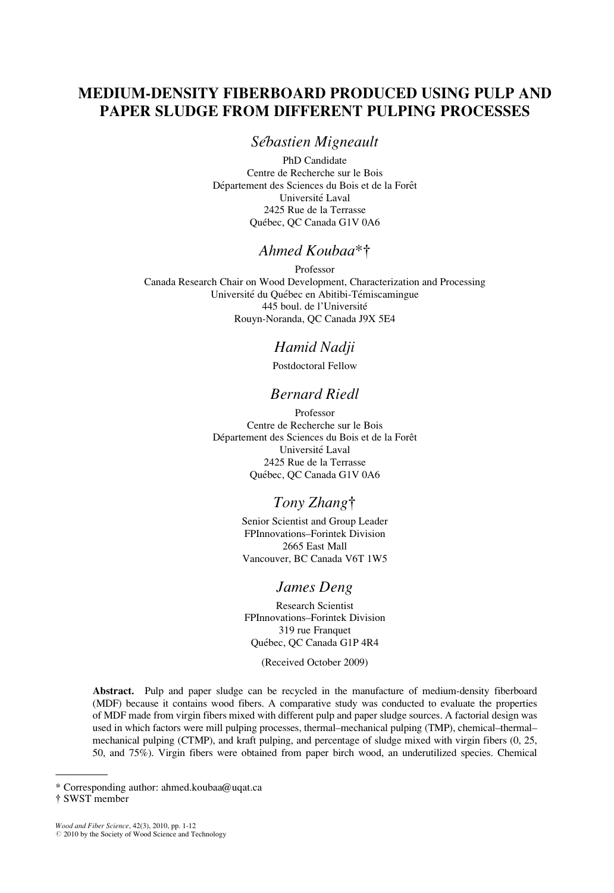# MEDIUM-DENSITY FIBERBOARD PRODUCED USING PULP AND PAPER SLUDGE FROM DIFFERENT PULPING PROCESSES

## Sébastien Migneault

PhD Candidate Centre de Recherche sur le Bois Département des Sciences du Bois et de la Forêt Université Laval 2425 Rue de la Terrasse Québec, OC Canada G1V 0A6

# Ahmed Koubaa\*†

Professor Canada Research Chair on Wood Development, Characterization and Processing Université du Québec en Abitibi-Témiscamingue 445 boul. de l'Université Rouyn-Noranda, QC Canada J9X 5E4

# Hamid Nadji

Postdoctoral Fellow

# Bernard Riedl

Professor Centre de Recherche sur le Bois Département des Sciences du Bois et de la Forêt Université Laval 2425 Rue de la Terrasse Québec, QC Canada G1V 0A6

# Tony Zhang<sup>†</sup>

Senior Scientist and Group Leader FPInnovations–Forintek Division 2665 East Mall Vancouver, BC Canada V6T 1W5

### James Deng

Research Scientist FPInnovations–Forintek Division 319 rue Franquet Québec, QC Canada G1P 4R4

(Received October 2009)

Abstract. Pulp and paper sludge can be recycled in the manufacture of medium-density fiberboard (MDF) because it contains wood fibers. A comparative study was conducted to evaluate the properties of MDF made from virgin fibers mixed with different pulp and paper sludge sources. A factorial design was used in which factors were mill pulping processes, thermal–mechanical pulping (TMP), chemical–thermal– mechanical pulping (CTMP), and kraft pulping, and percentage of sludge mixed with virgin fibers (0, 25, 50, and 75%). Virgin fibers were obtained from paper birch wood, an underutilized species. Chemical

Wood and Fiber Science, 42(3), 2010, pp. 1-12<br>© 2010 by the Society of Wood Science and Technology

<sup>\*</sup> Corresponding author: ahmed.koubaa@uqat.ca

<sup>{</sup> SWST member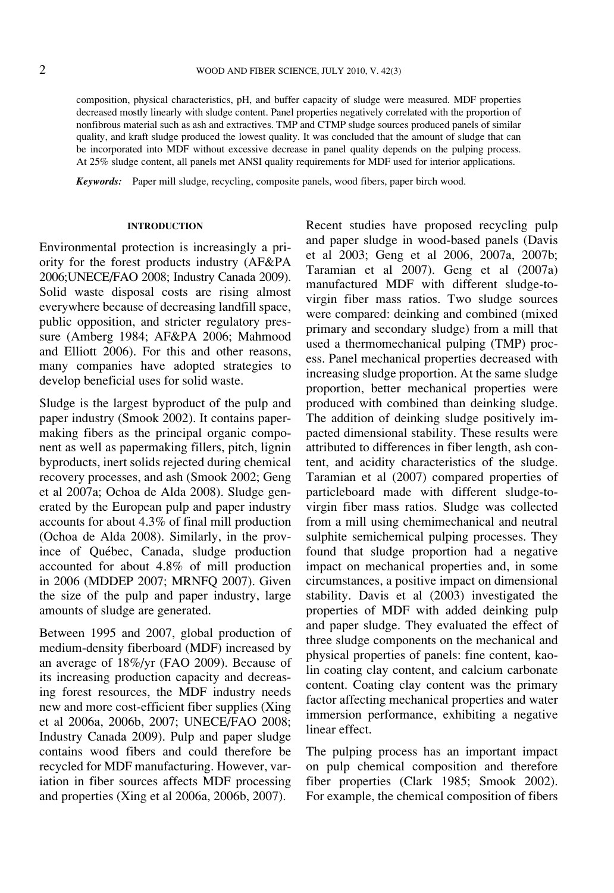composition, physical characteristics, pH, and buffer capacity of sludge were measured. MDF properties decreased mostly linearly with sludge content. Panel properties negatively correlated with the proportion of nonfibrous material such as ash and extractives. TMP and CTMP sludge sources produced panels of similar quality, and kraft sludge produced the lowest quality. It was concluded that the amount of sludge that can be incorporated into MDF without excessive decrease in panel quality depends on the pulping process. At 25% sludge content, all panels met ANSI quality requirements for MDF used for interior applications.

Keywords: Paper mill sludge, recycling, composite panels, wood fibers, paper birch wood.

#### INTRODUCTION

Environmental protection is increasingly a priority for the forest products industry (AF&PA 2006;UNECE/FAO 2008; Industry Canada 2009). Solid waste disposal costs are rising almost everywhere because of decreasing landfill space, public opposition, and stricter regulatory pressure (Amberg 1984; AF&PA 2006; Mahmood and Elliott 2006). For this and other reasons, many companies have adopted strategies to develop beneficial uses for solid waste.

Sludge is the largest byproduct of the pulp and paper industry (Smook 2002). It contains papermaking fibers as the principal organic component as well as papermaking fillers, pitch, lignin byproducts, inert solids rejected during chemical recovery processes, and ash (Smook 2002; Geng et al 2007a; Ochoa de Alda 2008). Sludge generated by the European pulp and paper industry accounts for about 4.3% of final mill production (Ochoa de Alda 2008). Similarly, in the province of Québec, Canada, sludge production accounted for about 4.8% of mill production in 2006 (MDDEP 2007; MRNFQ 2007). Given the size of the pulp and paper industry, large amounts of sludge are generated.

Between 1995 and 2007, global production of medium-density fiberboard (MDF) increased by an average of 18%/yr (FAO 2009). Because of its increasing production capacity and decreasing forest resources, the MDF industry needs new and more cost-efficient fiber supplies (Xing et al 2006a, 2006b, 2007; UNECE/FAO 2008; Industry Canada 2009). Pulp and paper sludge contains wood fibers and could therefore be recycled for MDF manufacturing. However, variation in fiber sources affects MDF processing and properties (Xing et al 2006a, 2006b, 2007).

Recent studies have proposed recycling pulp and paper sludge in wood-based panels (Davis et al 2003; Geng et al 2006, 2007a, 2007b; Taramian et al 2007). Geng et al (2007a) manufactured MDF with different sludge-tovirgin fiber mass ratios. Two sludge sources were compared: deinking and combined (mixed primary and secondary sludge) from a mill that used a thermomechanical pulping (TMP) process. Panel mechanical properties decreased with increasing sludge proportion. At the same sludge proportion, better mechanical properties were produced with combined than deinking sludge. The addition of deinking sludge positively impacted dimensional stability. These results were attributed to differences in fiber length, ash content, and acidity characteristics of the sludge. Taramian et al (2007) compared properties of particleboard made with different sludge-tovirgin fiber mass ratios. Sludge was collected from a mill using chemimechanical and neutral sulphite semichemical pulping processes. They found that sludge proportion had a negative impact on mechanical properties and, in some circumstances, a positive impact on dimensional stability. Davis et al (2003) investigated the properties of MDF with added deinking pulp and paper sludge. They evaluated the effect of three sludge components on the mechanical and physical properties of panels: fine content, kaolin coating clay content, and calcium carbonate content. Coating clay content was the primary factor affecting mechanical properties and water immersion performance, exhibiting a negative linear effect.

The pulping process has an important impact on pulp chemical composition and therefore fiber properties (Clark 1985; Smook 2002). For example, the chemical composition of fibers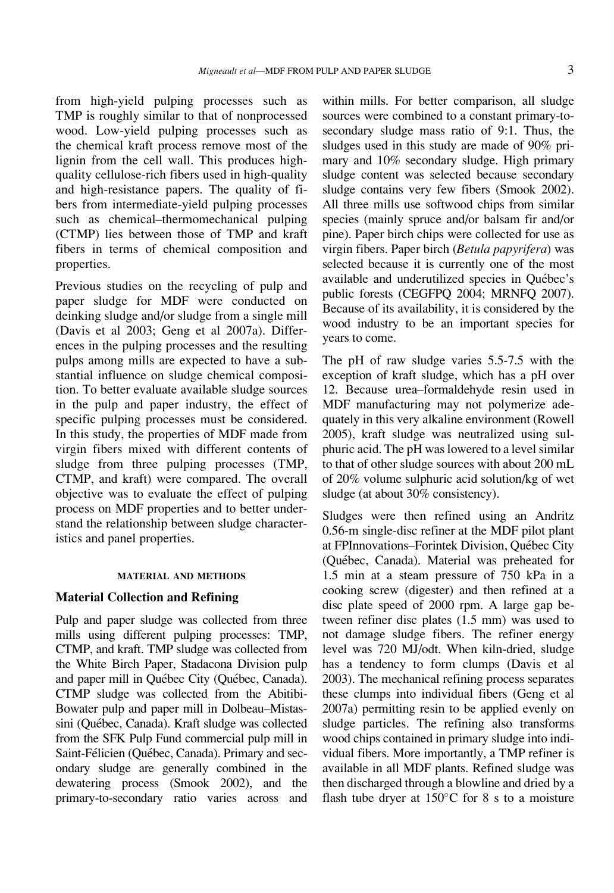from high-yield pulping processes such as TMP is roughly similar to that of nonprocessed wood. Low-yield pulping processes such as the chemical kraft process remove most of the lignin from the cell wall. This produces highquality cellulose-rich fibers used in high-quality and high-resistance papers. The quality of fibers from intermediate-yield pulping processes such as chemical–thermomechanical pulping (CTMP) lies between those of TMP and kraft fibers in terms of chemical composition and properties.

Previous studies on the recycling of pulp and paper sludge for MDF were conducted on deinking sludge and/or sludge from a single mill (Davis et al 2003; Geng et al 2007a). Differences in the pulping processes and the resulting pulps among mills are expected to have a substantial influence on sludge chemical composition. To better evaluate available sludge sources in the pulp and paper industry, the effect of specific pulping processes must be considered. In this study, the properties of MDF made from virgin fibers mixed with different contents of sludge from three pulping processes (TMP, CTMP, and kraft) were compared. The overall objective was to evaluate the effect of pulping process on MDF properties and to better understand the relationship between sludge characteristics and panel properties.

#### MATERIAL AND METHODS

### Material Collection and Refining

Pulp and paper sludge was collected from three mills using different pulping processes: TMP, CTMP, and kraft. TMP sludge was collected from the White Birch Paper, Stadacona Division pulp and paper mill in Québec City (Québec, Canada). CTMP sludge was collected from the Abitibi-Bowater pulp and paper mill in Dolbeau–Mistassini (Québec, Canada). Kraft sludge was collected from the SFK Pulp Fund commercial pulp mill in Saint-Félicien (Québec, Canada). Primary and secondary sludge are generally combined in the dewatering process (Smook 2002), and the primary-to-secondary ratio varies across and

within mills. For better comparison, all sludge sources were combined to a constant primary-tosecondary sludge mass ratio of 9:1. Thus, the sludges used in this study are made of 90% primary and 10% secondary sludge. High primary sludge content was selected because secondary sludge contains very few fibers (Smook 2002). All three mills use softwood chips from similar species (mainly spruce and/or balsam fir and/or pine). Paper birch chips were collected for use as virgin fibers. Paper birch (Betula papyrifera) was selected because it is currently one of the most available and underutilized species in Québec's public forests (CEGFPQ 2004; MRNFQ 2007). Because of its availability, it is considered by the wood industry to be an important species for years to come.

The pH of raw sludge varies 5.5-7.5 with the exception of kraft sludge, which has a pH over 12. Because urea–formaldehyde resin used in MDF manufacturing may not polymerize adequately in this very alkaline environment (Rowell 2005), kraft sludge was neutralized using sulphuric acid. The pH was lowered to a level similar to that of other sludge sources with about 200 mL of 20% volume sulphuric acid solution/kg of wet sludge (at about 30% consistency).

Sludges were then refined using an Andritz 0.56-m single-disc refiner at the MDF pilot plant at FPInnovations–Forintek Division, Québec City (Que´bec, Canada). Material was preheated for 1.5 min at a steam pressure of 750 kPa in a cooking screw (digester) and then refined at a disc plate speed of 2000 rpm. A large gap between refiner disc plates (1.5 mm) was used to not damage sludge fibers. The refiner energy level was 720 MJ/odt. When kiln-dried, sludge has a tendency to form clumps (Davis et al 2003). The mechanical refining process separates these clumps into individual fibers (Geng et al 2007a) permitting resin to be applied evenly on sludge particles. The refining also transforms wood chips contained in primary sludge into individual fibers. More importantly, a TMP refiner is available in all MDF plants. Refined sludge was then discharged through a blowline and dried by a flash tube dryer at  $150^{\circ}$ C for 8 s to a moisture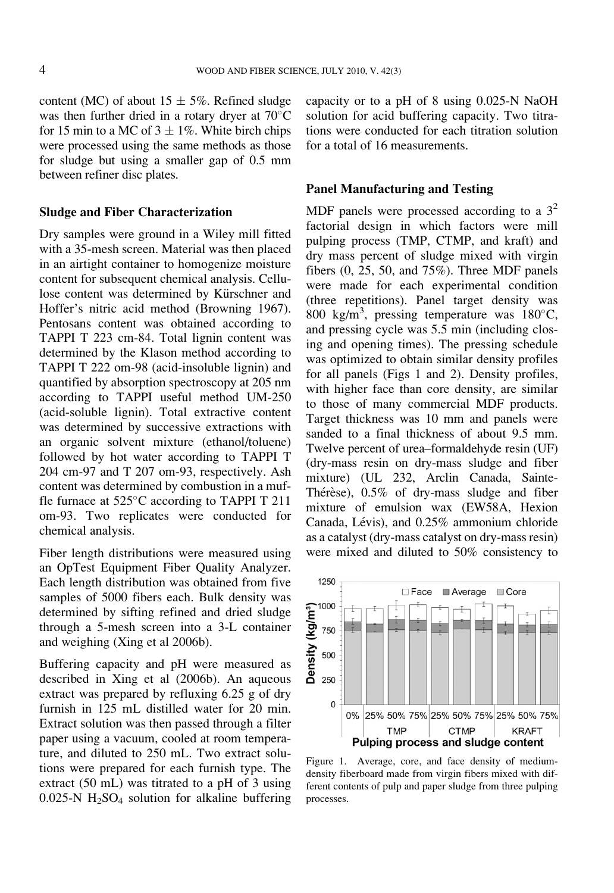content (MC) of about  $15 \pm 5\%$ . Refined sludge was then further dried in a rotary dryer at  $70^{\circ}$ C for 15 min to a MC of  $3 \pm 1\%$ . White birch chips were processed using the same methods as those for sludge but using a smaller gap of 0.5 mm between refiner disc plates.

### Sludge and Fiber Characterization

Dry samples were ground in a Wiley mill fitted with a 35-mesh screen. Material was then placed in an airtight container to homogenize moisture content for subsequent chemical analysis. Cellulose content was determined by Kürschner and Hoffer's nitric acid method (Browning 1967). Pentosans content was obtained according to TAPPI T 223 cm-84. Total lignin content was determined by the Klason method according to TAPPI T 222 om-98 (acid-insoluble lignin) and quantified by absorption spectroscopy at 205 nm according to TAPPI useful method UM-250 (acid-soluble lignin). Total extractive content was determined by successive extractions with an organic solvent mixture (ethanol/toluene) followed by hot water according to TAPPI T 204 cm-97 and T 207 om-93, respectively. Ash content was determined by combustion in a muffle furnace at  $525^{\circ}$ C according to TAPPI T 211 om-93. Two replicates were conducted for chemical analysis.

Fiber length distributions were measured using an OpTest Equipment Fiber Quality Analyzer. Each length distribution was obtained from five samples of 5000 fibers each. Bulk density was determined by sifting refined and dried sludge through a 5-mesh screen into a 3-L container and weighing (Xing et al 2006b).

Buffering capacity and pH were measured as described in Xing et al (2006b). An aqueous extract was prepared by refluxing 6.25 g of dry furnish in 125 mL distilled water for 20 min. Extract solution was then passed through a filter paper using a vacuum, cooled at room temperature, and diluted to 250 mL. Two extract solutions were prepared for each furnish type. The extract (50 mL) was titrated to a pH of 3 using  $0.025\text{-}N$  H<sub>2</sub>SO<sub>4</sub> solution for alkaline buffering

capacity or to a pH of 8 using 0.025-N NaOH solution for acid buffering capacity. Two titrations were conducted for each titration solution for a total of 16 measurements.

## Panel Manufacturing and Testing

MDF panels were processed according to a  $3^2$ factorial design in which factors were mill pulping process (TMP, CTMP, and kraft) and dry mass percent of sludge mixed with virgin fibers (0, 25, 50, and 75%). Three MDF panels were made for each experimental condition (three repetitions). Panel target density was 800 kg/m<sup>3</sup>, pressing temperature was  $180^{\circ}$ C, and pressing cycle was 5.5 min (including closing and opening times). The pressing schedule was optimized to obtain similar density profiles for all panels (Figs 1 and 2). Density profiles, with higher face than core density, are similar to those of many commercial MDF products. Target thickness was 10 mm and panels were sanded to a final thickness of about 9.5 mm. Twelve percent of urea–formaldehyde resin (UF) (dry-mass resin on dry-mass sludge and fiber mixture) (UL 232, Arclin Canada, Sainte-Thérèse),  $0.5\%$  of dry-mass sludge and fiber mixture of emulsion wax (EW58A, Hexion Canada, Lévis), and 0.25% ammonium chloride as a catalyst (dry-mass catalyst on dry-mass resin) were mixed and diluted to 50% consistency to



Figure 1. Average, core, and face density of mediumdensity fiberboard made from virgin fibers mixed with different contents of pulp and paper sludge from three pulping processes.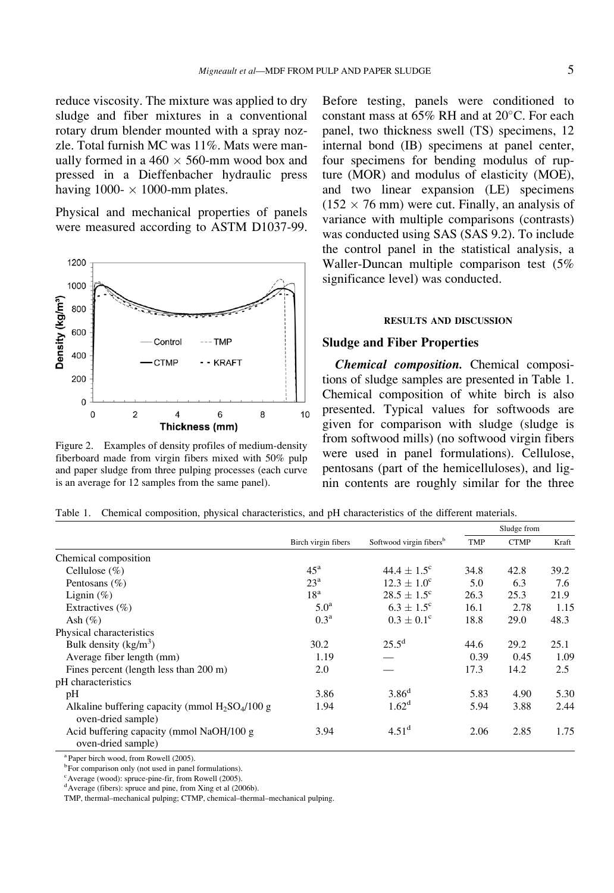reduce viscosity. The mixture was applied to dry sludge and fiber mixtures in a conventional rotary drum blender mounted with a spray nozzle. Total furnish MC was 11%. Mats were manually formed in a  $460 \times 560$ -mm wood box and pressed in a Dieffenbacher hydraulic press having 1000- $\times$  1000-mm plates.

Physical and mechanical properties of panels were measured according to ASTM D1037-99.



Figure 2. Examples of density profiles of medium-density fiberboard made from virgin fibers mixed with 50% pulp and paper sludge from three pulping processes (each curve is an average for 12 samples from the same panel).

Before testing, panels were conditioned to constant mass at  $65\%$  RH and at  $20^{\circ}$ C. For each panel, two thickness swell (TS) specimens, 12 internal bond (IB) specimens at panel center, four specimens for bending modulus of rupture (MOR) and modulus of elasticity (MOE), and two linear expansion (LE) specimens  $(152 \times 76 \text{ mm})$  were cut. Finally, an analysis of variance with multiple comparisons (contrasts) was conducted using SAS (SAS 9.2). To include the control panel in the statistical analysis, a Waller-Duncan multiple comparison test (5% significance level) was conducted.

#### RESULTS AND DISCUSSION

### Sludge and Fiber Properties

Chemical composition. Chemical compositions of sludge samples are presented in Table 1. Chemical composition of white birch is also presented. Typical values for softwoods are given for comparison with sludge (sludge is from softwood mills) (no softwood virgin fibers were used in panel formulations). Cellulose, pentosans (part of the hemicelluloses), and lignin contents are roughly similar for the three

|  |  |  |  | Table 1. Chemical composition, physical characteristics, and pH characteristics of the different materials. |  |  |  |  |  |  |
|--|--|--|--|-------------------------------------------------------------------------------------------------------------|--|--|--|--|--|--|
|--|--|--|--|-------------------------------------------------------------------------------------------------------------|--|--|--|--|--|--|

|                                                                         |                     |                                     | Sludge from |             |       |
|-------------------------------------------------------------------------|---------------------|-------------------------------------|-------------|-------------|-------|
|                                                                         | Birch virgin fibers | Softwood virgin fibers <sup>b</sup> | <b>TMP</b>  | <b>CTMP</b> | Kraft |
| Chemical composition                                                    |                     |                                     |             |             |       |
| Cellulose $(\%)$                                                        | $45^{\rm a}$        | $44.4 + 1.5^{\circ}$                | 34.8        | 42.8        | 39.2  |
| Pentosans $(\% )$                                                       | 23 <sup>a</sup>     | $12.3 + 1.0^{\circ}$                | 5.0         | 6.3         | 7.6   |
| Lignin $(\%)$                                                           | 18 <sup>a</sup>     | $28.5 \pm 1.5^{\circ}$              | 26.3        | 25.3        | 21.9  |
| Extractives $(\% )$                                                     | 5.0 <sup>a</sup>    | $6.3 \pm 1.5^{\circ}$               | 16.1        | 2.78        | 1.15  |
| Ash $(\% )$                                                             | 0.3 <sup>a</sup>    | $0.3 \pm 0.1^{\circ}$               | 18.8        | 29.0        | 48.3  |
| Physical characteristics                                                |                     |                                     |             |             |       |
| Bulk density $(kg/m^3)$                                                 | 30.2                | $25.5^{\rm d}$                      | 44.6        | 29.2        | 25.1  |
| Average fiber length (mm)                                               | 1.19                |                                     | 0.39        | 0.45        | 1.09  |
| Fines percent (length less than 200 m)                                  | 2.0                 |                                     | 17.3        | 14.2        | 2.5   |
| pH characteristics                                                      |                     |                                     |             |             |       |
| pH                                                                      | 3.86                | 3.86 <sup>d</sup>                   | 5.83        | 4.90        | 5.30  |
| Alkaline buffering capacity (mmol $H_2SO_4/100$ g<br>oven-dried sample) | 1.94                | 1.62 <sup>d</sup>                   | 5.94        | 3.88        | 2.44  |
| Acid buffering capacity (mmol NaOH/100 g)<br>oven-dried sample)         | 3.94                | $4.51^{\rm d}$                      | 2.06        | 2.85        | 1.75  |

<sup>a</sup> Paper birch wood, from Rowell (2005).

<sup>b</sup>For comparison only (not used in panel formulations).

<sup>c</sup> Average (wood): spruce-pine-fir, from Rowell (2005).

<sup>d</sup> Average (fibers): spruce and pine, from Xing et al (2006b).

TMP, thermal–mechanical pulping; CTMP, chemical–thermal–mechanical pulping.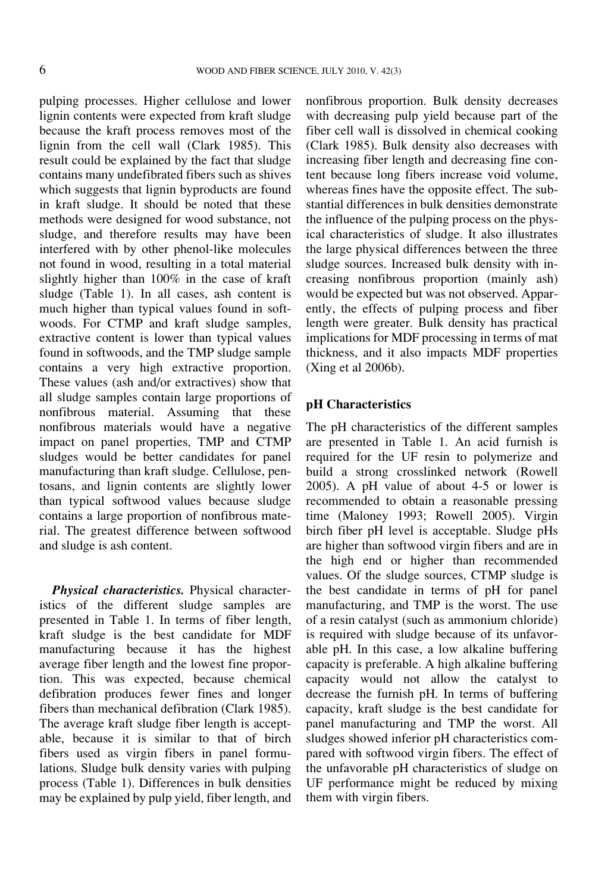pulping processes. Higher cellulose and lower lignin contents were expected from kraft sludge because the kraft process removes most of the lignin from the cell wall (Clark 1985). This result could be explained by the fact that sludge contains many undefibrated fibers such as shives which suggests that lignin byproducts are found in kraft sludge. It should be noted that these methods were designed for wood substance, not sludge, and therefore results may have been interfered with by other phenol-like molecules not found in wood, resulting in a total material slightly higher than 100% in the case of kraft sludge (Table 1). In all cases, ash content is much higher than typical values found in softwoods. For CTMP and kraft sludge samples, extractive content is lower than typical values found in softwoods, and the TMP sludge sample contains a very high extractive proportion. These values (ash and/or extractives) show that all sludge samples contain large proportions of nonfibrous material. Assuming that these nonfibrous materials would have a negative impact on panel properties, TMP and CTMP sludges would be better candidates for panel manufacturing than kraft sludge. Cellulose, pentosans, and lignin contents are slightly lower than typical softwood values because sludge contains a large proportion of nonfibrous material. The greatest difference between softwood and sludge is ash content.

Physical characteristics. Physical characteristics of the different sludge samples are presented in Table 1. In terms of fiber length, kraft sludge is the best candidate for MDF manufacturing because it has the highest average fiber length and the lowest fine proportion. This was expected, because chemical defibration produces fewer fines and longer fibers than mechanical defibration (Clark 1985). The average kraft sludge fiber length is acceptable, because it is similar to that of birch fibers used as virgin fibers in panel formulations. Sludge bulk density varies with pulping process (Table 1). Differences in bulk densities may be explained by pulp yield, fiber length, and nonfibrous proportion. Bulk density decreases with decreasing pulp yield because part of the fiber cell wall is dissolved in chemical cooking (Clark 1985). Bulk density also decreases with increasing fiber length and decreasing fine content because long fibers increase void volume, whereas fines have the opposite effect. The substantial differences in bulk densities demonstrate the influence of the pulping process on the physical characteristics of sludge. It also illustrates the large physical differences between the three sludge sources. Increased bulk density with increasing nonfibrous proportion (mainly ash) would be expected but was not observed. Apparently, the effects of pulping process and fiber length were greater. Bulk density has practical implications for MDF processing in terms of mat thickness, and it also impacts MDF properties (Xing et al 2006b).

### pH Characteristics

The pH characteristics of the different samples are presented in Table 1. An acid furnish is required for the UF resin to polymerize and build a strong crosslinked network (Rowell 2005). A pH value of about 4-5 or lower is recommended to obtain a reasonable pressing time (Maloney 1993; Rowell 2005). Virgin birch fiber pH level is acceptable. Sludge pHs are higher than softwood virgin fibers and are in the high end or higher than recommended values. Of the sludge sources, CTMP sludge is the best candidate in terms of pH for panel manufacturing, and TMP is the worst. The use of a resin catalyst (such as ammonium chloride) is required with sludge because of its unfavorable pH. In this case, a low alkaline buffering capacity is preferable. A high alkaline buffering capacity would not allow the catalyst to decrease the furnish pH. In terms of buffering capacity, kraft sludge is the best candidate for panel manufacturing and TMP the worst. All sludges showed inferior pH characteristics compared with softwood virgin fibers. The effect of the unfavorable pH characteristics of sludge on UF performance might be reduced by mixing them with virgin fibers.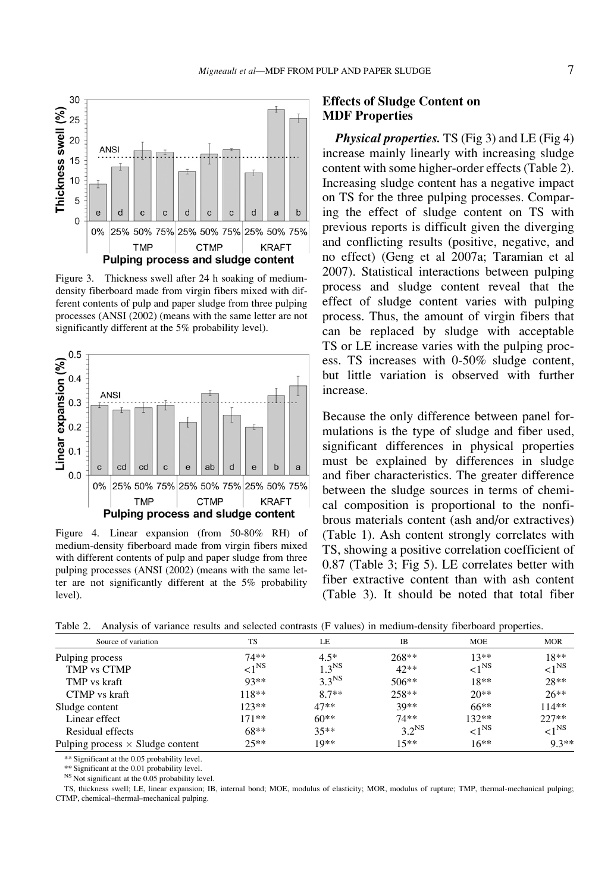

Figure 3. Thickness swell after 24 h soaking of mediumdensity fiberboard made from virgin fibers mixed with different contents of pulp and paper sludge from three pulping processes (ANSI (2002) (means with the same letter are not significantly different at the 5% probability level).



Figure 4. Linear expansion (from 50-80% RH) of medium-density fiberboard made from virgin fibers mixed with different contents of pulp and paper sludge from three pulping processes (ANSI (2002) (means with the same letter are not significantly different at the 5% probability level).

### Effects of Sludge Content on MDF Properties

**Physical properties.** TS (Fig 3) and LE (Fig 4) increase mainly linearly with increasing sludge content with some higher-order effects (Table 2). Increasing sludge content has a negative impact on TS for the three pulping processes. Comparing the effect of sludge content on TS with previous reports is difficult given the diverging and conflicting results (positive, negative, and no effect) (Geng et al 2007a; Taramian et al 2007). Statistical interactions between pulping process and sludge content reveal that the effect of sludge content varies with pulping process. Thus, the amount of virgin fibers that can be replaced by sludge with acceptable TS or LE increase varies with the pulping process. TS increases with 0-50% sludge content, but little variation is observed with further increase.

Because the only difference between panel formulations is the type of sludge and fiber used, significant differences in physical properties must be explained by differences in sludge and fiber characteristics. The greater difference between the sludge sources in terms of chemical composition is proportional to the nonfibrous materials content (ash and/or extractives) (Table 1). Ash content strongly correlates with TS, showing a positive correlation coefficient of 0.87 (Table 3; Fig 5). LE correlates better with fiber extractive content than with ash content (Table 3). It should be noted that total fiber

Table 2. Analysis of variance results and selected contrasts (F values) in medium-density fiberboard properties.

| Source of variation                     | <b>TS</b>          | LE                | IB                | <b>MOE</b>         | <b>MOR</b>         |
|-----------------------------------------|--------------------|-------------------|-------------------|--------------------|--------------------|
| Pulping process                         | $74**$             | $4.5*$            | $268**$           | $13**$             | $18**$             |
| TMP vs CTMP                             | ${<}1^{\text{NS}}$ | 1.3 <sup>NS</sup> | $42**$            | ${<}1^{\text{NS}}$ | ${<}1^{\text{NS}}$ |
| TMP vs kraft                            | $93**$             | 3.3 <sup>NS</sup> | $506**$           | $18**$             | $28**$             |
| CTMP vs kraft                           | $118**$            | $8.7**$           | $258**$           | $20**$             | $26**$             |
| Sludge content                          | $123**$            | $47**$            | $30**$            | $66***$            | $114**$            |
| Linear effect                           | $171**$            | $60**$            | $74**$            | $132**$            | $227**$            |
| Residual effects                        | $68**$             | $35**$            | 3.2 <sup>NS</sup> | ${<}1^{\text{NS}}$ | ${<}1^{\text{NS}}$ |
| Pulping process $\times$ Sludge content | $25**$             | $10**$            | $15**$            | $16**$             | $9.3**$            |

\*\* Significant at the 0.05 probability level.

\*\* Significant at the 0.01 probability level.

<sup>NS</sup> Not significant at the 0.05 probability level.

TS, thickness swell; LE, linear expansion; IB, internal bond; MOE, modulus of elasticity; MOR, modulus of rupture; TMP, thermal-mechanical pulping; CTMP, chemical–thermal–mechanical pulping.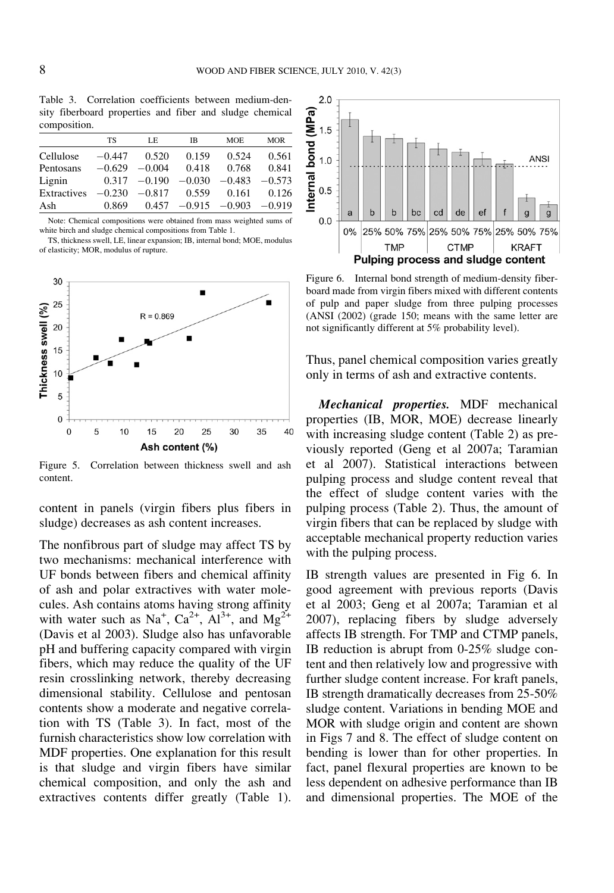Table 3. Correlation coefficients between medium-density fiberboard properties and fiber and sludge chemical composition.

|             | TS       | LE             | <b>IB</b> | <b>MOE</b>                 | <b>MOR</b> |
|-------------|----------|----------------|-----------|----------------------------|------------|
| Cellulose   | $-0.447$ | 0.520          | 0.159     | 0.524                      | 0.561      |
| Pentosans   | $-0.629$ | $-0.004$       | 0.418     | 0.768                      | 0.841      |
| Lignin      |          | $0.317 -0.190$ | $-0.030$  | $-0.483$                   | $-0.573$   |
| Extractives | $-0.230$ | $-0.817$       | 0.559     | 0.161                      | 0.126      |
| Ash         | 0.869    | 0.457          |           | $-0.915$ $-0.903$ $-0.919$ |            |
|             |          |                |           |                            |            |

Note: Chemical compositions were obtained from mass weighted sums of white birch and sludge chemical compositions from Table 1.

TS, thickness swell, LE, linear expansion; IB, internal bond; MOE, modulus of elasticity; MOR, modulus of rupture.



Figure 5. Correlation between thickness swell and ash content.

content in panels (virgin fibers plus fibers in sludge) decreases as ash content increases.

The nonfibrous part of sludge may affect TS by two mechanisms: mechanical interference with UF bonds between fibers and chemical affinity of ash and polar extractives with water molecules. Ash contains atoms having strong affinity with water such as Na<sup>+</sup>, Ca<sup>2+</sup>, Al<sup>3+</sup>, and Mg<sup>2+</sup> (Davis et al 2003). Sludge also has unfavorable pH and buffering capacity compared with virgin fibers, which may reduce the quality of the UF resin crosslinking network, thereby decreasing dimensional stability. Cellulose and pentosan contents show a moderate and negative correlation with TS (Table 3). In fact, most of the furnish characteristics show low correlation with MDF properties. One explanation for this result is that sludge and virgin fibers have similar chemical composition, and only the ash and extractives contents differ greatly (Table 1).



Figure 6. Internal bond strength of medium-density fiberboard made from virgin fibers mixed with different contents of pulp and paper sludge from three pulping processes (ANSI (2002) (grade 150; means with the same letter are not significantly different at 5% probability level).

Thus, panel chemical composition varies greatly only in terms of ash and extractive contents.

Mechanical properties. MDF mechanical properties (IB, MOR, MOE) decrease linearly with increasing sludge content (Table 2) as previously reported (Geng et al 2007a; Taramian et al 2007). Statistical interactions between pulping process and sludge content reveal that the effect of sludge content varies with the pulping process (Table 2). Thus, the amount of virgin fibers that can be replaced by sludge with acceptable mechanical property reduction varies with the pulping process.

IB strength values are presented in Fig 6. In good agreement with previous reports (Davis et al 2003; Geng et al 2007a; Taramian et al 2007), replacing fibers by sludge adversely affects IB strength. For TMP and CTMP panels, IB reduction is abrupt from 0-25% sludge content and then relatively low and progressive with further sludge content increase. For kraft panels, IB strength dramatically decreases from 25-50% sludge content. Variations in bending MOE and MOR with sludge origin and content are shown in Figs 7 and 8. The effect of sludge content on bending is lower than for other properties. In fact, panel flexural properties are known to be less dependent on adhesive performance than IB and dimensional properties. The MOE of the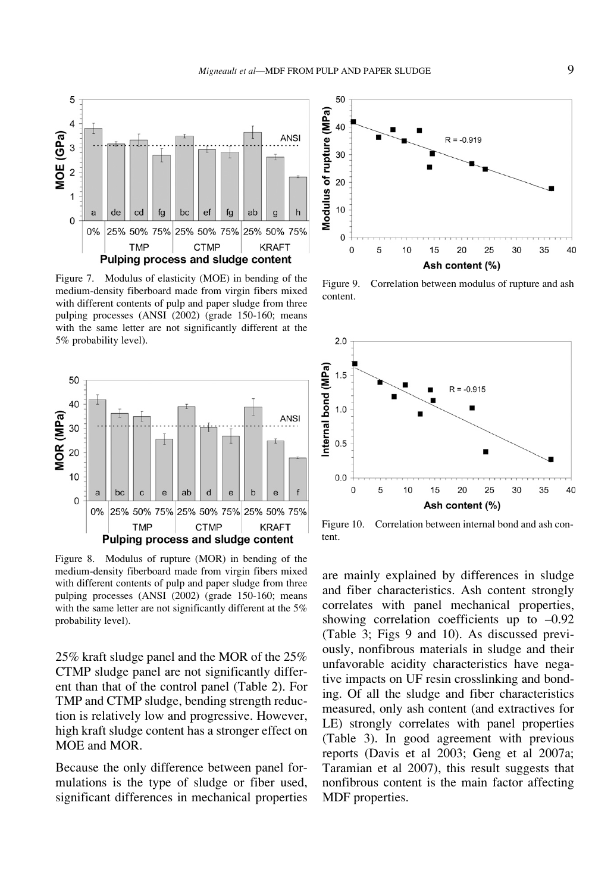

Figure 7. Modulus of elasticity (MOE) in bending of the medium-density fiberboard made from virgin fibers mixed with different contents of pulp and paper sludge from three pulping processes (ANSI (2002) (grade 150-160; means with the same letter are not significantly different at the 5% probability level).



Figure 8. Modulus of rupture (MOR) in bending of the medium-density fiberboard made from virgin fibers mixed with different contents of pulp and paper sludge from three pulping processes (ANSI (2002) (grade 150-160; means with the same letter are not significantly different at the 5% probability level).

25% kraft sludge panel and the MOR of the 25% CTMP sludge panel are not significantly different than that of the control panel (Table 2). For TMP and CTMP sludge, bending strength reduction is relatively low and progressive. However, high kraft sludge content has a stronger effect on MOE and MOR.

Because the only difference between panel formulations is the type of sludge or fiber used, significant differences in mechanical properties



Figure 9. Correlation between modulus of rupture and ash content.



Figure 10. Correlation between internal bond and ash content.

are mainly explained by differences in sludge and fiber characteristics. Ash content strongly correlates with panel mechanical properties, showing correlation coefficients up to  $-0.92$ (Table 3; Figs 9 and 10). As discussed previously, nonfibrous materials in sludge and their unfavorable acidity characteristics have negative impacts on UF resin crosslinking and bonding. Of all the sludge and fiber characteristics measured, only ash content (and extractives for LE) strongly correlates with panel properties (Table 3). In good agreement with previous reports (Davis et al 2003; Geng et al 2007a; Taramian et al 2007), this result suggests that nonfibrous content is the main factor affecting MDF properties.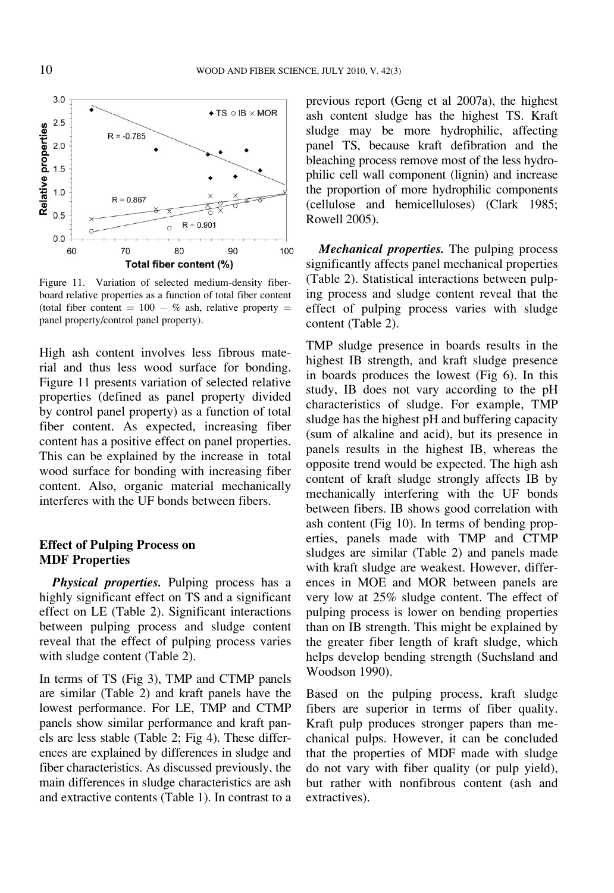

Figure 11. Variation of selected medium-density fiberboard relative properties as a function of total fiber content (total fiber content  $= 100 - %$  ash, relative property  $=$ panel property/control panel property).

High ash content involves less fibrous material and thus less wood surface for bonding. Figure 11 presents variation of selected relative properties (defined as panel property divided by control panel property) as a function of total fiber content. As expected, increasing fiber content has a positive effect on panel properties. This can be explained by the increase in total wood surface for bonding with increasing fiber content. Also, organic material mechanically interferes with the UF bonds between fibers.

## Effect of Pulping Process on MDF Properties

Physical properties. Pulping process has a highly significant effect on TS and a significant effect on LE (Table 2). Significant interactions between pulping process and sludge content reveal that the effect of pulping process varies with sludge content (Table 2).

In terms of TS (Fig 3), TMP and CTMP panels are similar (Table 2) and kraft panels have the lowest performance. For LE, TMP and CTMP panels show similar performance and kraft panels are less stable (Table 2; Fig 4). These differences are explained by differences in sludge and fiber characteristics. As discussed previously, the main differences in sludge characteristics are ash and extractive contents (Table 1). In contrast to a previous report (Geng et al 2007a), the highest ash content sludge has the highest TS. Kraft sludge may be more hydrophilic, affecting panel TS, because kraft defibration and the bleaching process remove most of the less hydrophilic cell wall component (lignin) and increase the proportion of more hydrophilic components (cellulose and hemicelluloses) (Clark 1985; Rowell 2005).

Mechanical properties. The pulping process significantly affects panel mechanical properties (Table 2). Statistical interactions between pulping process and sludge content reveal that the effect of pulping process varies with sludge content (Table 2).

TMP sludge presence in boards results in the highest IB strength, and kraft sludge presence in boards produces the lowest (Fig 6). In this study, IB does not vary according to the pH characteristics of sludge. For example, TMP sludge has the highest pH and buffering capacity (sum of alkaline and acid), but its presence in panels results in the highest IB, whereas the opposite trend would be expected. The high ash content of kraft sludge strongly affects IB by mechanically interfering with the UF bonds between fibers. IB shows good correlation with ash content (Fig 10). In terms of bending properties, panels made with TMP and CTMP sludges are similar (Table 2) and panels made with kraft sludge are weakest. However, differences in MOE and MOR between panels are very low at 25% sludge content. The effect of pulping process is lower on bending properties than on IB strength. This might be explained by the greater fiber length of kraft sludge, which helps develop bending strength (Suchsland and Woodson 1990).

Based on the pulping process, kraft sludge fibers are superior in terms of fiber quality. Kraft pulp produces stronger papers than mechanical pulps. However, it can be concluded that the properties of MDF made with sludge do not vary with fiber quality (or pulp yield), but rather with nonfibrous content (ash and extractives).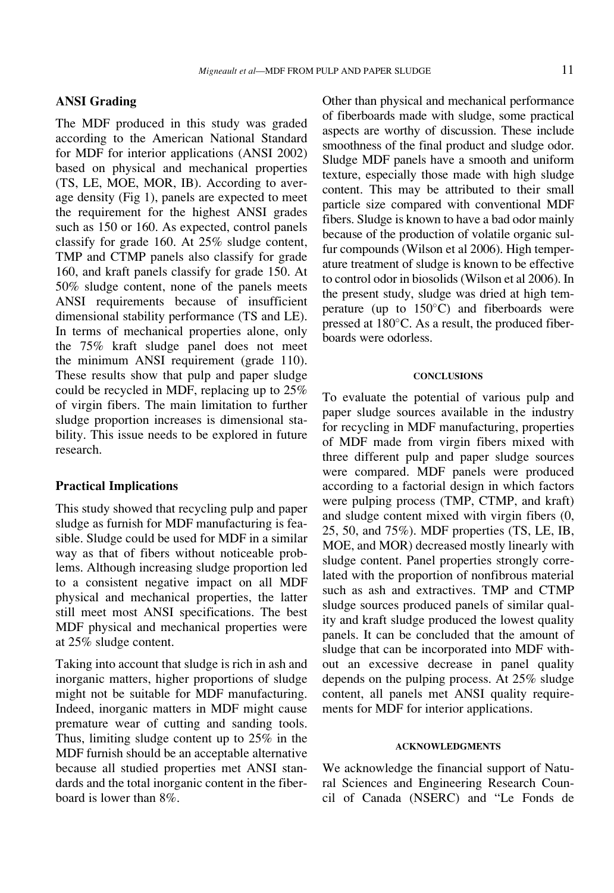### ANSI Grading

The MDF produced in this study was graded according to the American National Standard for MDF for interior applications (ANSI 2002) based on physical and mechanical properties (TS, LE, MOE, MOR, IB). According to average density (Fig 1), panels are expected to meet the requirement for the highest ANSI grades such as 150 or 160. As expected, control panels classify for grade 160. At 25% sludge content, TMP and CTMP panels also classify for grade 160, and kraft panels classify for grade 150. At 50% sludge content, none of the panels meets ANSI requirements because of insufficient dimensional stability performance (TS and LE). In terms of mechanical properties alone, only the 75% kraft sludge panel does not meet the minimum ANSI requirement (grade 110). These results show that pulp and paper sludge could be recycled in MDF, replacing up to 25% of virgin fibers. The main limitation to further sludge proportion increases is dimensional stability. This issue needs to be explored in future research.

### Practical Implications

This study showed that recycling pulp and paper sludge as furnish for MDF manufacturing is feasible. Sludge could be used for MDF in a similar way as that of fibers without noticeable problems. Although increasing sludge proportion led to a consistent negative impact on all MDF physical and mechanical properties, the latter still meet most ANSI specifications. The best MDF physical and mechanical properties were at 25% sludge content.

Taking into account that sludge is rich in ash and inorganic matters, higher proportions of sludge might not be suitable for MDF manufacturing. Indeed, inorganic matters in MDF might cause premature wear of cutting and sanding tools. Thus, limiting sludge content up to 25% in the MDF furnish should be an acceptable alternative because all studied properties met ANSI standards and the total inorganic content in the fiberboard is lower than 8%.

Other than physical and mechanical performance of fiberboards made with sludge, some practical aspects are worthy of discussion. These include smoothness of the final product and sludge odor. Sludge MDF panels have a smooth and uniform texture, especially those made with high sludge content. This may be attributed to their small particle size compared with conventional MDF fibers. Sludge is known to have a bad odor mainly because of the production of volatile organic sulfur compounds (Wilson et al 2006). High temperature treatment of sludge is known to be effective to control odor in biosolids (Wilson et al 2006). In the present study, sludge was dried at high temperature (up to  $150^{\circ}$ C) and fiberboards were pressed at  $180^{\circ}$ C. As a result, the produced fiberboards were odorless.

#### **CONCLUSIONS**

To evaluate the potential of various pulp and paper sludge sources available in the industry for recycling in MDF manufacturing, properties of MDF made from virgin fibers mixed with three different pulp and paper sludge sources were compared. MDF panels were produced according to a factorial design in which factors were pulping process (TMP, CTMP, and kraft) and sludge content mixed with virgin fibers (0, 25, 50, and 75%). MDF properties (TS, LE, IB, MOE, and MOR) decreased mostly linearly with sludge content. Panel properties strongly correlated with the proportion of nonfibrous material such as ash and extractives. TMP and CTMP sludge sources produced panels of similar quality and kraft sludge produced the lowest quality panels. It can be concluded that the amount of sludge that can be incorporated into MDF without an excessive decrease in panel quality depends on the pulping process. At 25% sludge content, all panels met ANSI quality requirements for MDF for interior applications.

#### ACKNOWLEDGMENTS

We acknowledge the financial support of Natural Sciences and Engineering Research Council of Canada (NSERC) and "Le Fonds de